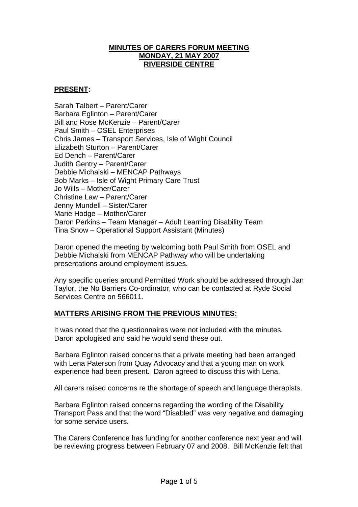## **MINUTES OF CARERS FORUM MEETING MONDAY, 21 MAY 2007 RIVERSIDE CENTRE**

# **PRESENT:**

Sarah Talbert – Parent/Carer Barbara Eglinton – Parent/Carer Bill and Rose McKenzie – Parent/Carer Paul Smith – OSEL Enterprises Chris James – Transport Services, Isle of Wight Council Elizabeth Sturton – Parent/Carer Ed Dench – Parent/Carer Judith Gentry – Parent/Carer Debbie Michalski – MENCAP Pathways Bob Marks – Isle of Wight Primary Care Trust Jo Wills – Mother/Carer Christine Law – Parent/Carer Jenny Mundell – Sister/Carer Marie Hodge – Mother/Carer Daron Perkins – Team Manager – Adult Learning Disability Team Tina Snow – Operational Support Assistant (Minutes)

Daron opened the meeting by welcoming both Paul Smith from OSEL and Debbie Michalski from MENCAP Pathway who will be undertaking presentations around employment issues.

Any specific queries around Permitted Work should be addressed through Jan Taylor, the No Barriers Co-ordinator, who can be contacted at Ryde Social Services Centre on 566011.

# **MATTERS ARISING FROM THE PREVIOUS MINUTES:**

It was noted that the questionnaires were not included with the minutes. Daron apologised and said he would send these out.

Barbara Eglinton raised concerns that a private meeting had been arranged with Lena Paterson from Quay Advocacy and that a young man on work experience had been present. Daron agreed to discuss this with Lena.

All carers raised concerns re the shortage of speech and language therapists.

Barbara Eglinton raised concerns regarding the wording of the Disability Transport Pass and that the word "Disabled" was very negative and damaging for some service users.

The Carers Conference has funding for another conference next year and will be reviewing progress between February 07 and 2008. Bill McKenzie felt that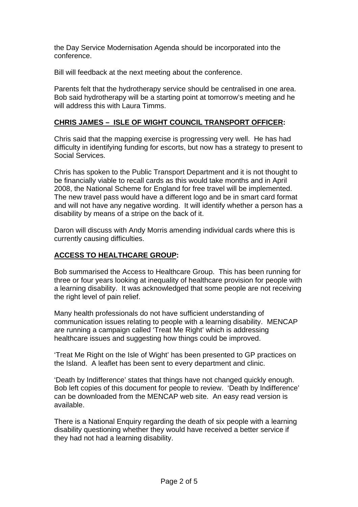the Day Service Modernisation Agenda should be incorporated into the conference.

Bill will feedback at the next meeting about the conference.

Parents felt that the hydrotherapy service should be centralised in one area. Bob said hydrotherapy will be a starting point at tomorrow's meeting and he will address this with Laura Timms.

# **CHRIS JAMES – ISLE OF WIGHT COUNCIL TRANSPORT OFFICER:**

Chris said that the mapping exercise is progressing very well. He has had difficulty in identifying funding for escorts, but now has a strategy to present to Social Services.

Chris has spoken to the Public Transport Department and it is not thought to be financially viable to recall cards as this would take months and in April 2008, the National Scheme for England for free travel will be implemented. The new travel pass would have a different logo and be in smart card format and will not have any negative wording. It will identify whether a person has a disability by means of a stripe on the back of it.

Daron will discuss with Andy Morris amending individual cards where this is currently causing difficulties.

# **ACCESS TO HEALTHCARE GROUP:**

Bob summarised the Access to Healthcare Group. This has been running for three or four years looking at inequality of healthcare provision for people with a learning disability. It was acknowledged that some people are not receiving the right level of pain relief.

Many health professionals do not have sufficient understanding of communication issues relating to people with a learning disability. MENCAP are running a campaign called 'Treat Me Right' which is addressing healthcare issues and suggesting how things could be improved.

'Treat Me Right on the Isle of Wight' has been presented to GP practices on the Island. A leaflet has been sent to every department and clinic.

'Death by Indifference' states that things have not changed quickly enough. Bob left copies of this document for people to review. 'Death by Indifference' can be downloaded from the MENCAP web site. An easy read version is available.

There is a National Enquiry regarding the death of six people with a learning disability questioning whether they would have received a better service if they had not had a learning disability.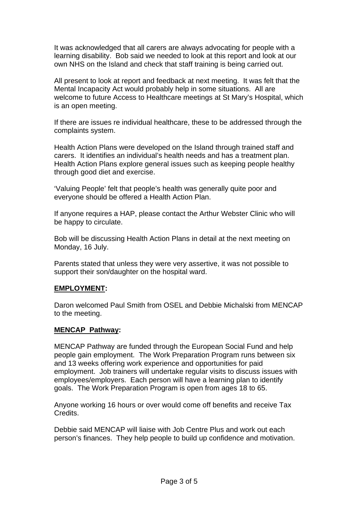It was acknowledged that all carers are always advocating for people with a learning disability. Bob said we needed to look at this report and look at our own NHS on the Island and check that staff training is being carried out.

All present to look at report and feedback at next meeting. It was felt that the Mental Incapacity Act would probably help in some situations. All are welcome to future Access to Healthcare meetings at St Mary's Hospital, which is an open meeting.

If there are issues re individual healthcare, these to be addressed through the complaints system.

Health Action Plans were developed on the Island through trained staff and carers. It identifies an individual's health needs and has a treatment plan. Health Action Plans explore general issues such as keeping people healthy through good diet and exercise.

'Valuing People' felt that people's health was generally quite poor and everyone should be offered a Health Action Plan.

If anyone requires a HAP, please contact the Arthur Webster Clinic who will be happy to circulate.

Bob will be discussing Health Action Plans in detail at the next meeting on Monday, 16 July.

Parents stated that unless they were very assertive, it was not possible to support their son/daughter on the hospital ward.

#### **EMPLOYMENT:**

Daron welcomed Paul Smith from OSEL and Debbie Michalski from MENCAP to the meeting.

#### **MENCAP Pathway:**

MENCAP Pathway are funded through the European Social Fund and help people gain employment. The Work Preparation Program runs between six and 13 weeks offering work experience and opportunities for paid employment. Job trainers will undertake regular visits to discuss issues with employees/employers. Each person will have a learning plan to identify goals. The Work Preparation Program is open from ages 18 to 65.

Anyone working 16 hours or over would come off benefits and receive Tax Credits.

Debbie said MENCAP will liaise with Job Centre Plus and work out each person's finances. They help people to build up confidence and motivation.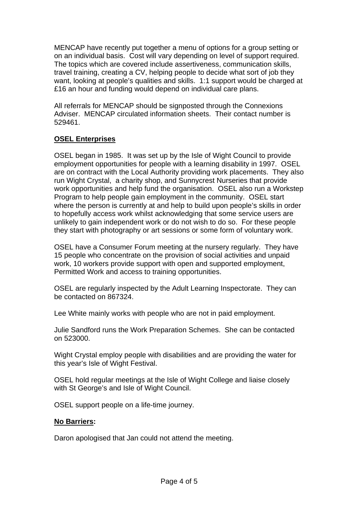MENCAP have recently put together a menu of options for a group setting or on an individual basis. Cost will vary depending on level of support required. The topics which are covered include assertiveness, communication skills, travel training, creating a CV, helping people to decide what sort of job they want, looking at people's qualities and skills. 1:1 support would be charged at £16 an hour and funding would depend on individual care plans.

All referrals for MENCAP should be signposted through the Connexions Adviser. MENCAP circulated information sheets. Their contact number is 529461.

# **OSEL Enterprises**

OSEL began in 1985. It was set up by the Isle of Wight Council to provide employment opportunities for people with a learning disability in 1997. OSEL are on contract with the Local Authority providing work placements. They also run Wight Crystal, a charity shop, and Sunnycrest Nurseries that provide work opportunities and help fund the organisation. OSEL also run a Workstep Program to help people gain employment in the community. OSEL start where the person is currently at and help to build upon people's skills in order to hopefully access work whilst acknowledging that some service users are unlikely to gain independent work or do not wish to do so. For these people they start with photography or art sessions or some form of voluntary work.

OSEL have a Consumer Forum meeting at the nursery regularly. They have 15 people who concentrate on the provision of social activities and unpaid work, 10 workers provide support with open and supported employment, Permitted Work and access to training opportunities.

OSEL are regularly inspected by the Adult Learning Inspectorate. They can be contacted on 867324.

Lee White mainly works with people who are not in paid employment.

Julie Sandford runs the Work Preparation Schemes. She can be contacted on 523000.

Wight Crystal employ people with disabilities and are providing the water for this year's Isle of Wight Festival.

OSEL hold regular meetings at the Isle of Wight College and liaise closely with St George's and Isle of Wight Council.

OSEL support people on a life-time journey.

#### **No Barriers:**

Daron apologised that Jan could not attend the meeting.